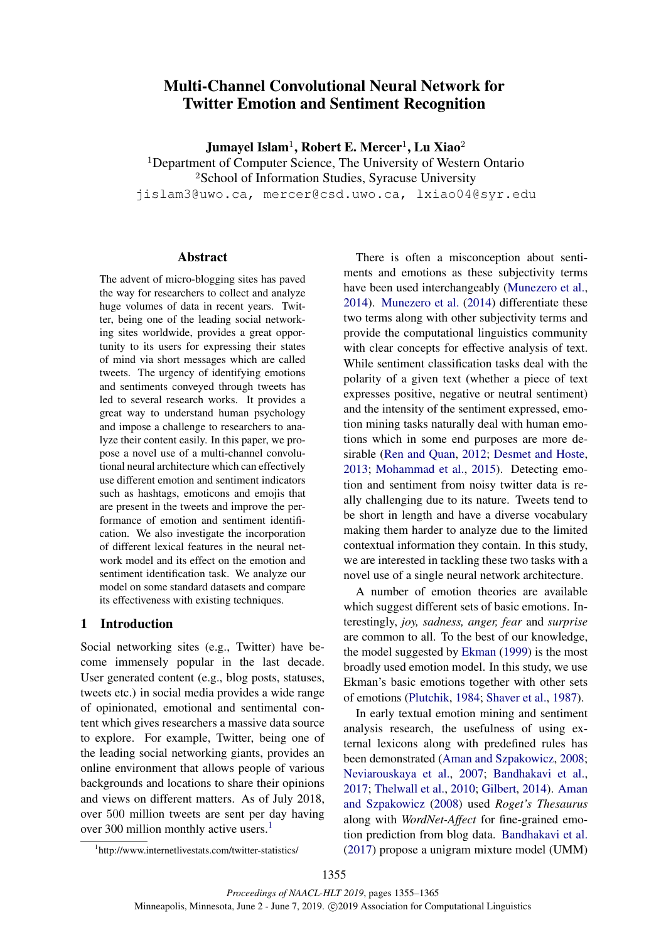# Multi-Channel Convolutional Neural Network for Twitter Emotion and Sentiment Recognition

Jumayel Islam $^1$ , Robert E. Mercer $^1$ , Lu Xiao $^2$ 

<sup>1</sup>Department of Computer Science, The University of Western Ontario

<sup>2</sup>School of Information Studies, Syracuse University

jislam3@uwo.ca, mercer@csd.uwo.ca, lxiao04@syr.edu

# Abstract

The advent of micro-blogging sites has paved the way for researchers to collect and analyze huge volumes of data in recent years. Twitter, being one of the leading social networking sites worldwide, provides a great opportunity to its users for expressing their states of mind via short messages which are called tweets. The urgency of identifying emotions and sentiments conveyed through tweets has led to several research works. It provides a great way to understand human psychology and impose a challenge to researchers to analyze their content easily. In this paper, we propose a novel use of a multi-channel convolutional neural architecture which can effectively use different emotion and sentiment indicators such as hashtags, emoticons and emojis that are present in the tweets and improve the performance of emotion and sentiment identification. We also investigate the incorporation of different lexical features in the neural network model and its effect on the emotion and sentiment identification task. We analyze our model on some standard datasets and compare its effectiveness with existing techniques.

# 1 Introduction

Social networking sites (e.g., Twitter) have become immensely popular in the last decade. User generated content (e.g., blog posts, statuses, tweets etc.) in social media provides a wide range of opinionated, emotional and sentimental content which gives researchers a massive data source to explore. For example, Twitter, being one of the leading social networking giants, provides an online environment that allows people of various backgrounds and locations to share their opinions and views on different matters. As of July 2018, over 500 million tweets are sent per day having over 300 million monthly active users.<sup>1</sup>

There is often a misconception about sentiments and emotions as these subjectivity terms have been used interchangeably (Munezero et al., 2014). Munezero et al. (2014) differentiate these two terms along with other subjectivity terms and provide the computational linguistics community with clear concepts for effective analysis of text. While sentiment classification tasks deal with the polarity of a given text (whether a piece of text expresses positive, negative or neutral sentiment) and the intensity of the sentiment expressed, emotion mining tasks naturally deal with human emotions which in some end purposes are more desirable (Ren and Quan, 2012; Desmet and Hoste, 2013; Mohammad et al., 2015). Detecting emotion and sentiment from noisy twitter data is really challenging due to its nature. Tweets tend to be short in length and have a diverse vocabulary making them harder to analyze due to the limited contextual information they contain. In this study, we are interested in tackling these two tasks with a novel use of a single neural network architecture.

A number of emotion theories are available which suggest different sets of basic emotions. Interestingly, *joy, sadness, anger, fear* and *surprise* are common to all. To the best of our knowledge, the model suggested by Ekman (1999) is the most broadly used emotion model. In this study, we use Ekman's basic emotions together with other sets of emotions (Plutchik, 1984; Shaver et al., 1987).

In early textual emotion mining and sentiment analysis research, the usefulness of using external lexicons along with predefined rules has been demonstrated (Aman and Szpakowicz, 2008; Neviarouskaya et al., 2007; Bandhakavi et al., 2017; Thelwall et al., 2010; Gilbert, 2014). Aman and Szpakowicz (2008) used *Roget's Thesaurus* along with *WordNet-Affect* for fine-grained emotion prediction from blog data. Bandhakavi et al. (2017) propose a unigram mixture model (UMM)

<sup>1</sup> http://www.internetlivestats.com/twitter-statistics/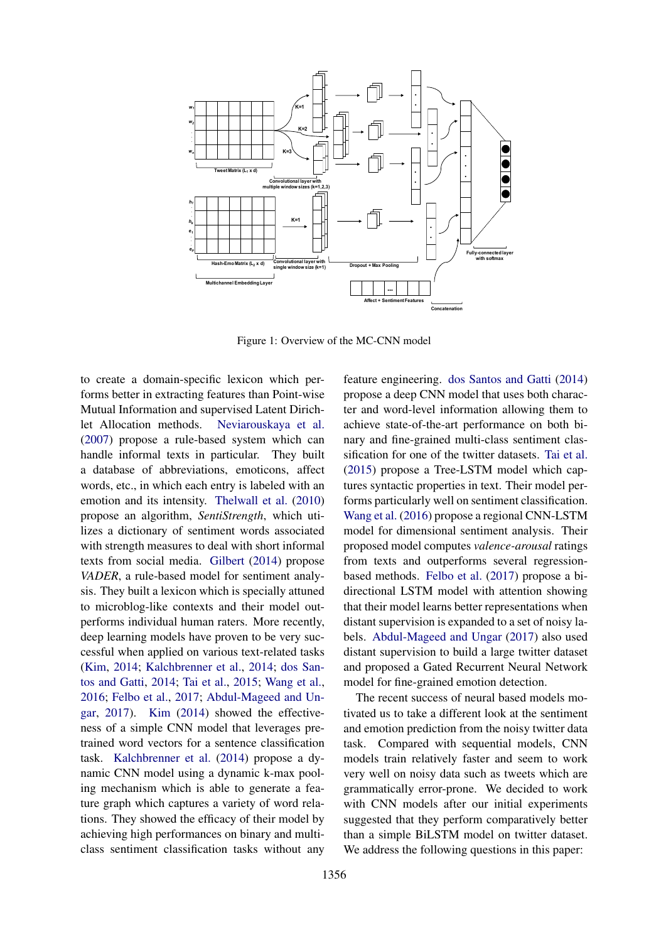

Figure 1: Overview of the MC-CNN model

to create a domain-specific lexicon which performs better in extracting features than Point-wise Mutual Information and supervised Latent Dirichlet Allocation methods. Neviarouskaya et al. (2007) propose a rule-based system which can handle informal texts in particular. They built a database of abbreviations, emoticons, affect words, etc., in which each entry is labeled with an emotion and its intensity. Thelwall et al. (2010) propose an algorithm, *SentiStrength*, which utilizes a dictionary of sentiment words associated with strength measures to deal with short informal texts from social media. Gilbert (2014) propose *VADER*, a rule-based model for sentiment analysis. They built a lexicon which is specially attuned to microblog-like contexts and their model outperforms individual human raters. More recently, deep learning models have proven to be very successful when applied on various text-related tasks (Kim, 2014; Kalchbrenner et al., 2014; dos Santos and Gatti, 2014; Tai et al., 2015; Wang et al., 2016; Felbo et al., 2017; Abdul-Mageed and Ungar, 2017). Kim (2014) showed the effectiveness of a simple CNN model that leverages pretrained word vectors for a sentence classification task. Kalchbrenner et al. (2014) propose a dynamic CNN model using a dynamic k-max pooling mechanism which is able to generate a feature graph which captures a variety of word relations. They showed the efficacy of their model by achieving high performances on binary and multiclass sentiment classification tasks without any

feature engineering. dos Santos and Gatti (2014) propose a deep CNN model that uses both character and word-level information allowing them to achieve state-of-the-art performance on both binary and fine-grained multi-class sentiment classification for one of the twitter datasets. Tai et al. (2015) propose a Tree-LSTM model which captures syntactic properties in text. Their model performs particularly well on sentiment classification. Wang et al. (2016) propose a regional CNN-LSTM model for dimensional sentiment analysis. Their proposed model computes *valence-arousal* ratings from texts and outperforms several regressionbased methods. Felbo et al. (2017) propose a bidirectional LSTM model with attention showing that their model learns better representations when distant supervision is expanded to a set of noisy labels. Abdul-Mageed and Ungar (2017) also used distant supervision to build a large twitter dataset and proposed a Gated Recurrent Neural Network model for fine-grained emotion detection.

The recent success of neural based models motivated us to take a different look at the sentiment and emotion prediction from the noisy twitter data task. Compared with sequential models, CNN models train relatively faster and seem to work very well on noisy data such as tweets which are grammatically error-prone. We decided to work with CNN models after our initial experiments suggested that they perform comparatively better than a simple BiLSTM model on twitter dataset. We address the following questions in this paper: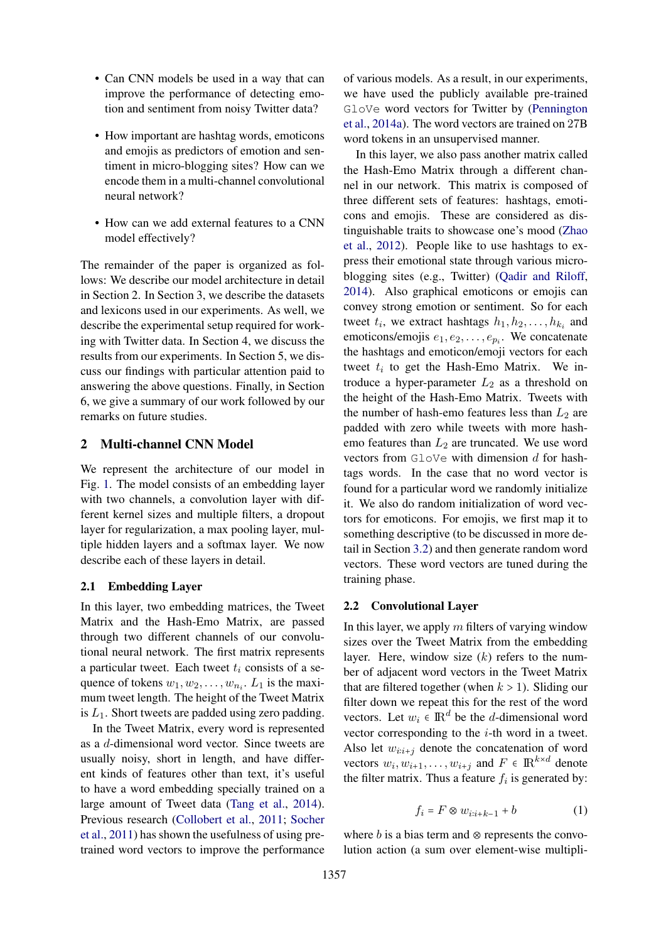- Can CNN models be used in a way that can improve the performance of detecting emotion and sentiment from noisy Twitter data?
- How important are hashtag words, emoticons and emojis as predictors of emotion and sentiment in micro-blogging sites? How can we encode them in a multi-channel convolutional neural network?
- How can we add external features to a CNN model effectively?

The remainder of the paper is organized as follows: We describe our model architecture in detail in Section 2. In Section 3, we describe the datasets and lexicons used in our experiments. As well, we describe the experimental setup required for working with Twitter data. In Section 4, we discuss the results from our experiments. In Section 5, we discuss our findings with particular attention paid to answering the above questions. Finally, in Section 6, we give a summary of our work followed by our remarks on future studies.

## 2 Multi-channel CNN Model

We represent the architecture of our model in Fig. 1. The model consists of an embedding layer with two channels, a convolution layer with different kernel sizes and multiple filters, a dropout layer for regularization, a max pooling layer, multiple hidden layers and a softmax layer. We now describe each of these layers in detail.

## 2.1 Embedding Layer

In this layer, two embedding matrices, the Tweet Matrix and the Hash-Emo Matrix, are passed through two different channels of our convolutional neural network. The first matrix represents a particular tweet. Each tweet  $t_i$  consists of a sequence of tokens  $w_1, w_2, \ldots, w_{n_i}$ .  $L_1$  is the maximum tweet length. The height of the Tweet Matrix is  $L_1$ . Short tweets are padded using zero padding.

In the Tweet Matrix, every word is represented as a d-dimensional word vector. Since tweets are usually noisy, short in length, and have different kinds of features other than text, it's useful to have a word embedding specially trained on a large amount of Tweet data (Tang et al., 2014). Previous research (Collobert et al., 2011; Socher et al., 2011) has shown the usefulness of using pretrained word vectors to improve the performance

of various models. As a result, in our experiments, we have used the publicly available pre-trained GloVe word vectors for Twitter by (Pennington et al., 2014a). The word vectors are trained on 27B word tokens in an unsupervised manner.

In this layer, we also pass another matrix called the Hash-Emo Matrix through a different channel in our network. This matrix is composed of three different sets of features: hashtags, emoticons and emojis. These are considered as distinguishable traits to showcase one's mood (Zhao et al., 2012). People like to use hashtags to express their emotional state through various microblogging sites (e.g., Twitter) (Qadir and Riloff, 2014). Also graphical emoticons or emojis can convey strong emotion or sentiment. So for each tweet  $t_i$ , we extract hashtags  $h_1, h_2, \ldots, h_{k_i}$  and emoticons/emojis  $e_1, e_2, \ldots, e_{p_i}$ . We concatenate the hashtags and emoticon/emoji vectors for each tweet  $t_i$  to get the Hash-Emo Matrix. We introduce a hyper-parameter  $L_2$  as a threshold on the height of the Hash-Emo Matrix. Tweets with the number of hash-emo features less than  $L_2$  are padded with zero while tweets with more hashemo features than  $L_2$  are truncated. We use word vectors from  $G$ loVe with dimension  $d$  for hashtags words. In the case that no word vector is found for a particular word we randomly initialize it. We also do random initialization of word vectors for emoticons. For emojis, we first map it to something descriptive (to be discussed in more detail in Section 3.2) and then generate random word vectors. These word vectors are tuned during the training phase.

## 2.2 Convolutional Layer

In this layer, we apply  $m$  filters of varying window sizes over the Tweet Matrix from the embedding layer. Here, window size  $(k)$  refers to the number of adjacent word vectors in the Tweet Matrix that are filtered together (when  $k > 1$ ). Sliding our filter down we repeat this for the rest of the word vectors. Let  $w_i \in \mathbb{R}^d$  be the *d*-dimensional word vector corresponding to the  $i$ -th word in a tweet. Also let  $w_{i:i+j}$  denote the concatenation of word vectors  $w_i, w_{i+1}, \ldots, w_{i+j}$  and  $F \in \mathbb{R}^{k \times d}$  denote the filter matrix. Thus a feature  $f_i$  is generated by:

$$
f_i = F \otimes w_{i:i+k-1} + b \tag{1}
$$

where  $b$  is a bias term and ⊗ represents the convolution action (a sum over element-wise multipli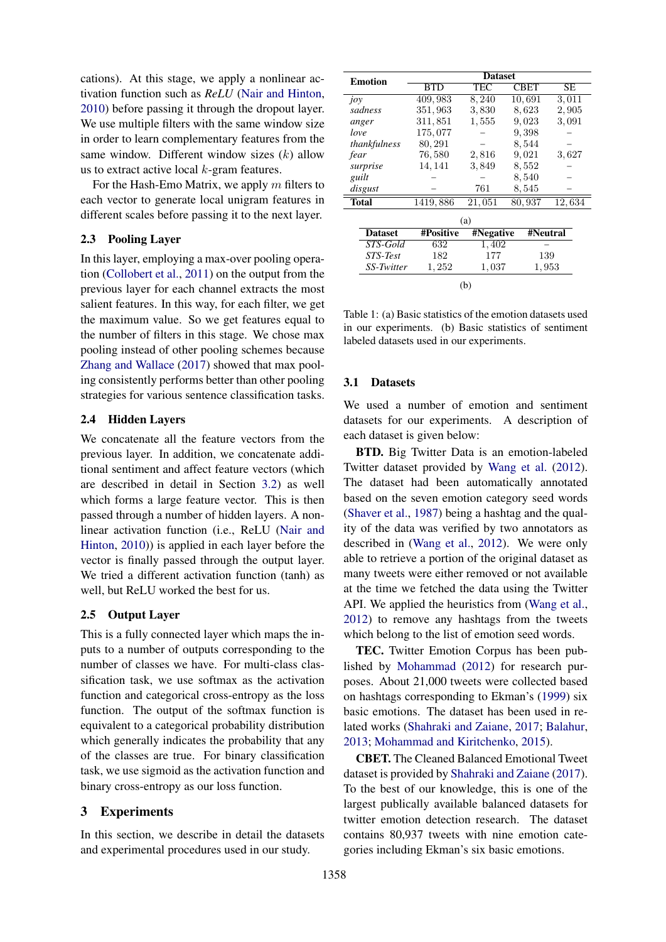cations). At this stage, we apply a nonlinear activation function such as *ReLU* (Nair and Hinton, 2010) before passing it through the dropout layer. We use multiple filters with the same window size in order to learn complementary features from the same window. Different window sizes  $(k)$  allow us to extract active local  $k$ -gram features.

For the Hash-Emo Matrix, we apply  $m$  filters to each vector to generate local unigram features in different scales before passing it to the next layer.

# 2.3 Pooling Layer

In this layer, employing a max-over pooling operation (Collobert et al., 2011) on the output from the previous layer for each channel extracts the most salient features. In this way, for each filter, we get the maximum value. So we get features equal to the number of filters in this stage. We chose max pooling instead of other pooling schemes because Zhang and Wallace (2017) showed that max pooling consistently performs better than other pooling strategies for various sentence classification tasks.

## 2.4 Hidden Layers

We concatenate all the feature vectors from the previous layer. In addition, we concatenate additional sentiment and affect feature vectors (which are described in detail in Section 3.2) as well which forms a large feature vector. This is then passed through a number of hidden layers. A nonlinear activation function (i.e., ReLU (Nair and Hinton, 2010)) is applied in each layer before the vector is finally passed through the output layer. We tried a different activation function (tanh) as well, but ReLU worked the best for us.

## 2.5 Output Layer

This is a fully connected layer which maps the inputs to a number of outputs corresponding to the number of classes we have. For multi-class classification task, we use softmax as the activation function and categorical cross-entropy as the loss function. The output of the softmax function is equivalent to a categorical probability distribution which generally indicates the probability that any of the classes are true. For binary classification task, we use sigmoid as the activation function and binary cross-entropy as our loss function.

# 3 Experiments

In this section, we describe in detail the datasets and experimental procedures used in our study.

|                |           | <b>Dataset</b> |          |           |  |  |  |  |  |
|----------------|-----------|----------------|----------|-----------|--|--|--|--|--|
| <b>Emotion</b> | BTD       | TEC            | CBET     | <b>SE</b> |  |  |  |  |  |
|                |           |                |          |           |  |  |  |  |  |
| joy            | 409,983   | 8,240          | 10.691   | 3,011     |  |  |  |  |  |
| sadness        | 351,963   | 3,830          | 8,623    | 2,905     |  |  |  |  |  |
| anger          | 311,851   | 1,555          | 9,023    | 3,091     |  |  |  |  |  |
| love           | 175,077   |                | 9,398    |           |  |  |  |  |  |
| thankfulness   | 80,291    |                | 8,544    |           |  |  |  |  |  |
| fear           | 76,580    | 2,816          | 9,021    | 3,627     |  |  |  |  |  |
| surprise       | 14, 141   | 3,849          | 8,552    |           |  |  |  |  |  |
| guilt          |           |                | 8,540    |           |  |  |  |  |  |
| disgust        |           | 761            | 8,545    |           |  |  |  |  |  |
| <b>Total</b>   | 1419,886  | 21,051         | 80,937   | 12,634    |  |  |  |  |  |
|                |           | (a)            |          |           |  |  |  |  |  |
|                |           |                |          |           |  |  |  |  |  |
| <b>Dataset</b> | #Positive | #Negative      | #Neutral |           |  |  |  |  |  |
| STS-Gold       | 632       | 1,402          |          |           |  |  |  |  |  |
| STS-Test       | 182       | 177            | 139      |           |  |  |  |  |  |
| SS-Twitter     | 1,252     | 1,037<br>1,953 |          |           |  |  |  |  |  |
|                |           | (b)            |          |           |  |  |  |  |  |

Table 1: (a) Basic statistics of the emotion datasets used in our experiments. (b) Basic statistics of sentiment labeled datasets used in our experiments.

#### 3.1 Datasets

We used a number of emotion and sentiment datasets for our experiments. A description of each dataset is given below:

BTD. Big Twitter Data is an emotion-labeled Twitter dataset provided by Wang et al. (2012). The dataset had been automatically annotated based on the seven emotion category seed words (Shaver et al., 1987) being a hashtag and the quality of the data was verified by two annotators as described in (Wang et al., 2012). We were only able to retrieve a portion of the original dataset as many tweets were either removed or not available at the time we fetched the data using the Twitter API. We applied the heuristics from (Wang et al., 2012) to remove any hashtags from the tweets which belong to the list of emotion seed words.

TEC. Twitter Emotion Corpus has been published by Mohammad (2012) for research purposes. About 21,000 tweets were collected based on hashtags corresponding to Ekman's (1999) six basic emotions. The dataset has been used in related works (Shahraki and Zaiane, 2017; Balahur, 2013; Mohammad and Kiritchenko, 2015).

CBET. The Cleaned Balanced Emotional Tweet dataset is provided by Shahraki and Zaiane (2017). To the best of our knowledge, this is one of the largest publically available balanced datasets for twitter emotion detection research. The dataset contains 80,937 tweets with nine emotion categories including Ekman's six basic emotions.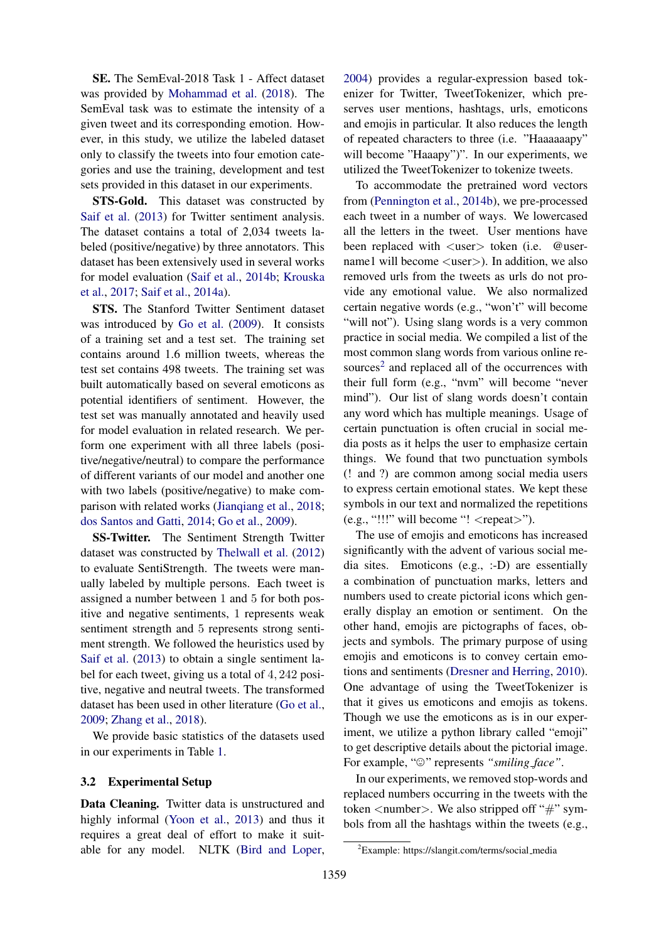SE. The SemEval-2018 Task 1 - Affect dataset was provided by Mohammad et al. (2018). The SemEval task was to estimate the intensity of a given tweet and its corresponding emotion. However, in this study, we utilize the labeled dataset only to classify the tweets into four emotion categories and use the training, development and test sets provided in this dataset in our experiments.

STS-Gold. This dataset was constructed by Saif et al. (2013) for Twitter sentiment analysis. The dataset contains a total of 2,034 tweets labeled (positive/negative) by three annotators. This dataset has been extensively used in several works for model evaluation (Saif et al., 2014b; Krouska et al., 2017; Saif et al., 2014a).

STS. The Stanford Twitter Sentiment dataset was introduced by Go et al. (2009). It consists of a training set and a test set. The training set contains around 1.6 million tweets, whereas the test set contains 498 tweets. The training set was built automatically based on several emoticons as potential identifiers of sentiment. However, the test set was manually annotated and heavily used for model evaluation in related research. We perform one experiment with all three labels (positive/negative/neutral) to compare the performance of different variants of our model and another one with two labels (positive/negative) to make comparison with related works (Jianqiang et al., 2018; dos Santos and Gatti, 2014; Go et al., 2009).

SS-Twitter. The Sentiment Strength Twitter dataset was constructed by Thelwall et al. (2012) to evaluate SentiStrength. The tweets were manually labeled by multiple persons. Each tweet is assigned a number between 1 and 5 for both positive and negative sentiments, 1 represents weak sentiment strength and 5 represents strong sentiment strength. We followed the heuristics used by Saif et al. (2013) to obtain a single sentiment label for each tweet, giving us a total of 4, 242 positive, negative and neutral tweets. The transformed dataset has been used in other literature (Go et al., 2009; Zhang et al., 2018).

We provide basic statistics of the datasets used in our experiments in Table 1.

## 3.2 Experimental Setup

Data Cleaning. Twitter data is unstructured and highly informal (Yoon et al., 2013) and thus it requires a great deal of effort to make it suitable for any model. NLTK (Bird and Loper,

2004) provides a regular-expression based tokenizer for Twitter, TweetTokenizer, which preserves user mentions, hashtags, urls, emoticons and emojis in particular. It also reduces the length of repeated characters to three (i.e. "Haaaaaapy" will become "Haaapy")". In our experiments, we utilized the TweetTokenizer to tokenize tweets.

To accommodate the pretrained word vectors from (Pennington et al., 2014b), we pre-processed each tweet in a number of ways. We lowercased all the letters in the tweet. User mentions have been replaced with <user> token (i.e. @username1 will become <user>). In addition, we also removed urls from the tweets as urls do not provide any emotional value. We also normalized certain negative words (e.g., "won't" will become "will not"). Using slang words is a very common practice in social media. We compiled a list of the most common slang words from various online resources<sup>2</sup> and replaced all of the occurrences with their full form (e.g., "nvm" will become "never mind"). Our list of slang words doesn't contain any word which has multiple meanings. Usage of certain punctuation is often crucial in social media posts as it helps the user to emphasize certain things. We found that two punctuation symbols (! and ?) are common among social media users to express certain emotional states. We kept these symbols in our text and normalized the repetitions (e.g., "!!!" will become "! <repeat>").

The use of emojis and emoticons has increased significantly with the advent of various social media sites. Emoticons (e.g., :-D) are essentially a combination of punctuation marks, letters and numbers used to create pictorial icons which generally display an emotion or sentiment. On the other hand, emojis are pictographs of faces, objects and symbols. The primary purpose of using emojis and emoticons is to convey certain emotions and sentiments (Dresner and Herring, 2010). One advantage of using the TweetTokenizer is that it gives us emoticons and emojis as tokens. Though we use the emoticons as is in our experiment, we utilize a python library called "emoji" to get descriptive details about the pictorial image. For example, " $\odot$ " represents "*smiling\_face*".

In our experiments, we removed stop-words and replaced numbers occurring in the tweets with the token  $\langle$  number $\rangle$ . We also stripped off "#" symbols from all the hashtags within the tweets (e.g.,

<sup>&</sup>lt;sup>2</sup>Example: https://slangit.com/terms/social\_media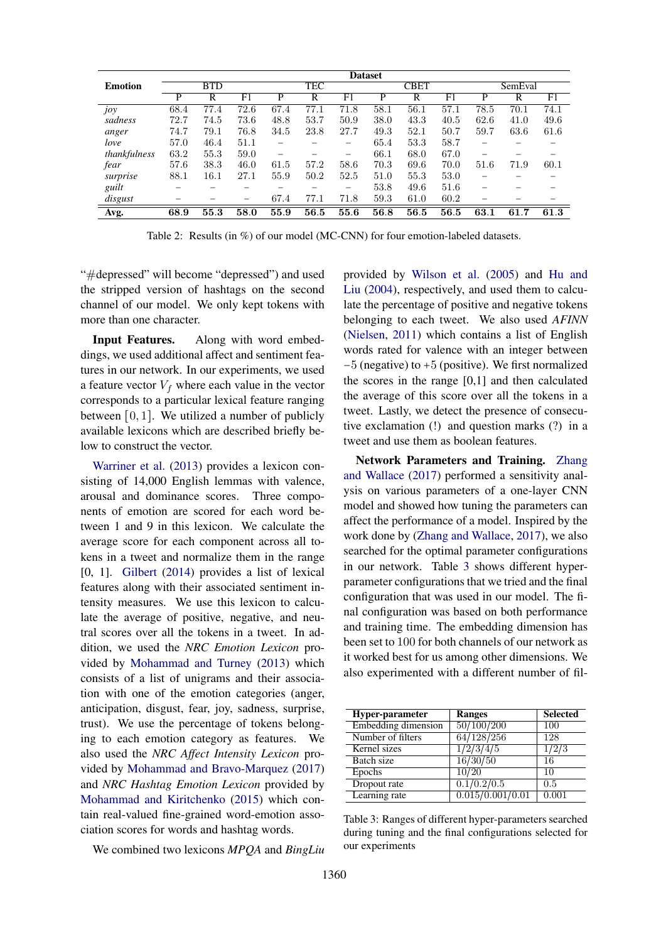|                |            | <b>Dataset</b> |      |      |            |             |      |             |      |      |         |      |  |
|----------------|------------|----------------|------|------|------------|-------------|------|-------------|------|------|---------|------|--|
| <b>Emotion</b> | <b>BTD</b> |                |      |      | <b>TEC</b> |             |      | <b>CBET</b> |      |      | SemEval |      |  |
|                | P          | R              | F1   | P    | R          | $_{\rm F1}$ | P    | R           | F1   | P    | R       | F1   |  |
| JOY            | 68.4       | 77.4           | 72.6 | 67.4 | 77.1       | 71.8        | 58.1 | 56.1        | 57.1 | 78.5 | 70.1    | 74.1 |  |
| sadness        | 72.7       | 74.5           | 73.6 | 48.8 | 53.7       | 50.9        | 38.0 | 43.3        | 40.5 | 62.6 | 41.0    | 49.6 |  |
| anger          | 74.7       | 79.1           | 76.8 | 34.5 | 23.8       | 27.7        | 49.3 | 52.1        | 50.7 | 59.7 | 63.6    | 61.6 |  |
| love           | 57.0       | 46.4           | 51.1 |      |            | -           | 65.4 | 53.3        | 58.7 |      |         |      |  |
| thankfulness   | 63.2       | 55.3           | 59.0 | -    | -          | -           | 66.1 | 68.0        | 67.0 | -    |         |      |  |
| fear           | 57.6       | 38.3           | 46.0 | 61.5 | 57.2       | 58.6        | 70.3 | 69.6        | 70.0 | 51.6 | 71.9    | 60.1 |  |
| surprise       | 88.1       | 16.1           | 27.1 | 55.9 | 50.2       | 52.5        | 51.0 | 55.3        | 53.0 |      |         |      |  |
| guilt          |            |                |      |      |            | -           | 53.8 | 49.6        | 51.6 |      |         |      |  |
| disgust        |            |                | -    | 67.4 | 77.1       | 71.8        | 59.3 | 61.0        | 60.2 |      |         |      |  |
| Avg.           | 68.9       | 55.3           | 58.0 | 55.9 | 56.5       | 55.6        | 56.8 | 56.5        | 56.5 | 63.1 | 61.7    | 61.3 |  |

Table 2: Results (in %) of our model (MC-CNN) for four emotion-labeled datasets.

"#depressed" will become "depressed") and used the stripped version of hashtags on the second channel of our model. We only kept tokens with more than one character.

Input Features. Along with word embeddings, we used additional affect and sentiment features in our network. In our experiments, we used a feature vector  $V_f$  where each value in the vector corresponds to a particular lexical feature ranging between  $[0, 1]$ . We utilized a number of publicly available lexicons which are described briefly below to construct the vector.

Warriner et al. (2013) provides a lexicon consisting of 14,000 English lemmas with valence, arousal and dominance scores. Three components of emotion are scored for each word between 1 and 9 in this lexicon. We calculate the average score for each component across all tokens in a tweet and normalize them in the range [0, 1]. Gilbert (2014) provides a list of lexical features along with their associated sentiment intensity measures. We use this lexicon to calculate the average of positive, negative, and neutral scores over all the tokens in a tweet. In addition, we used the *NRC Emotion Lexicon* provided by Mohammad and Turney (2013) which consists of a list of unigrams and their association with one of the emotion categories (anger, anticipation, disgust, fear, joy, sadness, surprise, trust). We use the percentage of tokens belonging to each emotion category as features. We also used the *NRC Affect Intensity Lexicon* provided by Mohammad and Bravo-Marquez (2017) and *NRC Hashtag Emotion Lexicon* provided by Mohammad and Kiritchenko (2015) which contain real-valued fine-grained word-emotion association scores for words and hashtag words.

We combined two lexicons *MPQA* and *BingLiu*

provided by Wilson et al. (2005) and Hu and Liu (2004), respectively, and used them to calculate the percentage of positive and negative tokens belonging to each tweet. We also used *AFINN* (Nielsen, 2011) which contains a list of English words rated for valence with an integer between −5 (negative) to +5 (positive). We first normalized the scores in the range [0,1] and then calculated the average of this score over all the tokens in a tweet. Lastly, we detect the presence of consecutive exclamation (!) and question marks (?) in a tweet and use them as boolean features.

Network Parameters and Training. Zhang and Wallace (2017) performed a sensitivity analysis on various parameters of a one-layer CNN model and showed how tuning the parameters can affect the performance of a model. Inspired by the work done by (Zhang and Wallace, 2017), we also searched for the optimal parameter configurations in our network. Table 3 shows different hyperparameter configurations that we tried and the final configuration that was used in our model. The final configuration was based on both performance and training time. The embedding dimension has been set to 100 for both channels of our network as it worked best for us among other dimensions. We also experimented with a different number of fil-

| Hyper-parameter     | <b>Ranges</b>    | <b>Selected</b> |
|---------------------|------------------|-----------------|
| Embedding dimension | 50/100/200       | 100             |
| Number of filters   | 64/128/256       | 128             |
| Kernel sizes        | 1/2/3/4/5        | 1/2/3           |
| Batch size          | 16/30/50         | 16              |
| Epochs              | 10/20            | 10              |
| Dropout rate        | 0.1/0.2/0.5      | 0.5             |
| Learning rate       | 0.015/0.001/0.01 | 0.001           |

Table 3: Ranges of different hyper-parameters searched during tuning and the final configurations selected for our experiments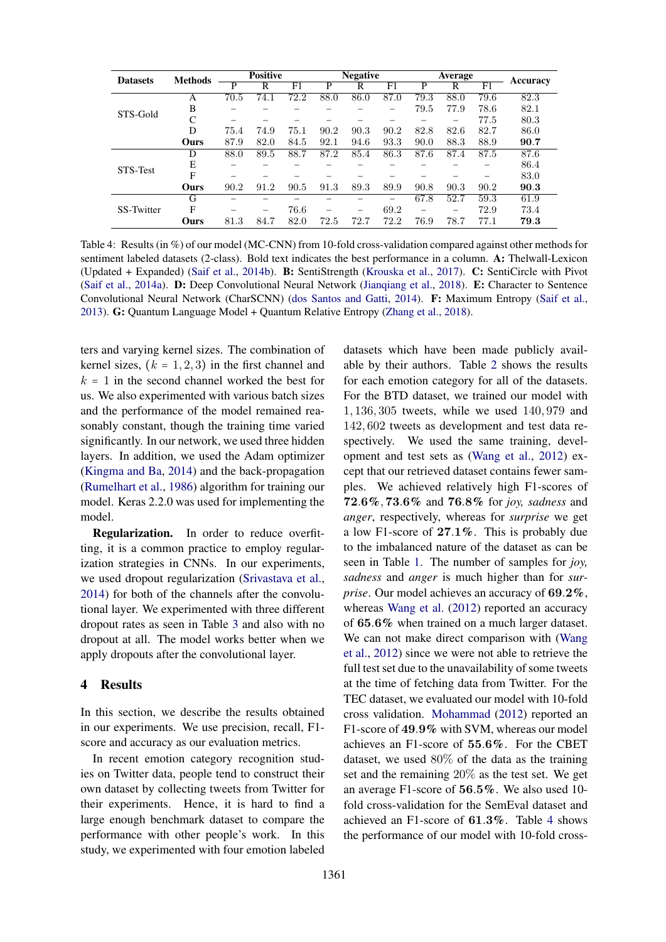| <b>Datasets</b> | <b>Methods</b> | <b>Positive</b> |      |      |      | <b>Negative</b> |      |      | Average |      |          |
|-----------------|----------------|-----------------|------|------|------|-----------------|------|------|---------|------|----------|
|                 |                | P               | R    | F1   | P    | R               | F1   | P    | R       | F1   | Accuracy |
|                 | А              | 70.5            | 74.1 | 72.2 | 88.0 | 86.0            | 87.0 | 79.3 | 88.0    | 79.6 | 82.3     |
| STS-Gold        | B              |                 |      |      |      |                 |      | 79.5 | 77.9    | 78.6 | 82.1     |
|                 | C              |                 |      |      |      |                 |      |      | -       | 77.5 | 80.3     |
|                 | D              | 75.4            | 74.9 | 75.1 | 90.2 | 90.3            | 90.2 | 82.8 | 82.6    | 82.7 | 86.0     |
|                 | Ours           | 87.9            | 82.0 | 84.5 | 92.1 | 94.6            | 93.3 | 90.0 | 88.3    | 88.9 | 90.7     |
|                 | D              | 88.0            | 89.5 | 88.7 | 87.2 | 85.4            | 86.3 | 87.6 | 87.4    | 87.5 | 87.6     |
| STS-Test        | Е              |                 |      |      |      |                 |      |      |         |      | 86.4     |
|                 | F              |                 |      |      |      |                 |      |      |         |      | 83.0     |
|                 | Ours           | 90.2            | 91.2 | 90.5 | 91.3 | 89.3            | 89.9 | 90.8 | 90.3    | 90.2 | 90.3     |
|                 | G              |                 |      |      |      |                 |      | 67.8 | 52.7    | 59.3 | 61.9     |
| SS-Twitter      | F              | -               | -    | 76.6 |      | -               | 69.2 | -    | -       | 72.9 | 73.4     |
|                 | Ours           | 81.3            | 84.7 | 82.0 | 72.5 | 72.7            | 72.2 | 76.9 | 78.7    | 77.1 | 79.3     |

Table 4: Results (in %) of our model (MC-CNN) from 10-fold cross-validation compared against other methods for sentiment labeled datasets (2-class). Bold text indicates the best performance in a column. A: Thelwall-Lexicon (Updated + Expanded) (Saif et al., 2014b). B: SentiStrength (Krouska et al., 2017). C: SentiCircle with Pivot (Saif et al., 2014a). D: Deep Convolutional Neural Network (Jianqiang et al., 2018). E: Character to Sentence Convolutional Neural Network (CharSCNN) (dos Santos and Gatti, 2014). F: Maximum Entropy (Saif et al., 2013). G: Quantum Language Model + Quantum Relative Entropy (Zhang et al., 2018).

ters and varying kernel sizes. The combination of kernel sizes,  $(k = 1, 2, 3)$  in the first channel and  $k = 1$  in the second channel worked the best for us. We also experimented with various batch sizes and the performance of the model remained reasonably constant, though the training time varied significantly. In our network, we used three hidden layers. In addition, we used the Adam optimizer (Kingma and Ba, 2014) and the back-propagation (Rumelhart et al., 1986) algorithm for training our model. Keras 2.2.0 was used for implementing the model.

Regularization. In order to reduce overfitting, it is a common practice to employ regularization strategies in CNNs. In our experiments, we used dropout regularization (Srivastava et al., 2014) for both of the channels after the convolutional layer. We experimented with three different dropout rates as seen in Table 3 and also with no dropout at all. The model works better when we apply dropouts after the convolutional layer.

# 4 Results

In this section, we describe the results obtained in our experiments. We use precision, recall, F1 score and accuracy as our evaluation metrics.

In recent emotion category recognition studies on Twitter data, people tend to construct their own dataset by collecting tweets from Twitter for their experiments. Hence, it is hard to find a large enough benchmark dataset to compare the performance with other people's work. In this study, we experimented with four emotion labeled

datasets which have been made publicly available by their authors. Table 2 shows the results for each emotion category for all of the datasets. For the BTD dataset, we trained our model with 1, 136, 305 tweets, while we used 140, 979 and 142, 602 tweets as development and test data respectively. We used the same training, development and test sets as (Wang et al., 2012) except that our retrieved dataset contains fewer samples. We achieved relatively high F1-scores of 72.6%, 73.6% and 76.8% for *joy, sadness* and *anger*, respectively, whereas for *surprise* we get a low F1-score of 27.1%. This is probably due to the imbalanced nature of the dataset as can be seen in Table 1. The number of samples for *joy, sadness* and *anger* is much higher than for *surprise*. Our model achieves an accuracy of 69.2%, whereas Wang et al. (2012) reported an accuracy of 65.6% when trained on a much larger dataset. We can not make direct comparison with (Wang et al., 2012) since we were not able to retrieve the full test set due to the unavailability of some tweets at the time of fetching data from Twitter. For the TEC dataset, we evaluated our model with 10-fold cross validation. Mohammad (2012) reported an F1-score of 49.9% with SVM, whereas our model achieves an F1-score of 55.6%. For the CBET dataset, we used 80% of the data as the training set and the remaining 20% as the test set. We get an average F1-score of 56.5%. We also used 10 fold cross-validation for the SemEval dataset and achieved an F1-score of 61.3%. Table 4 shows the performance of our model with 10-fold cross-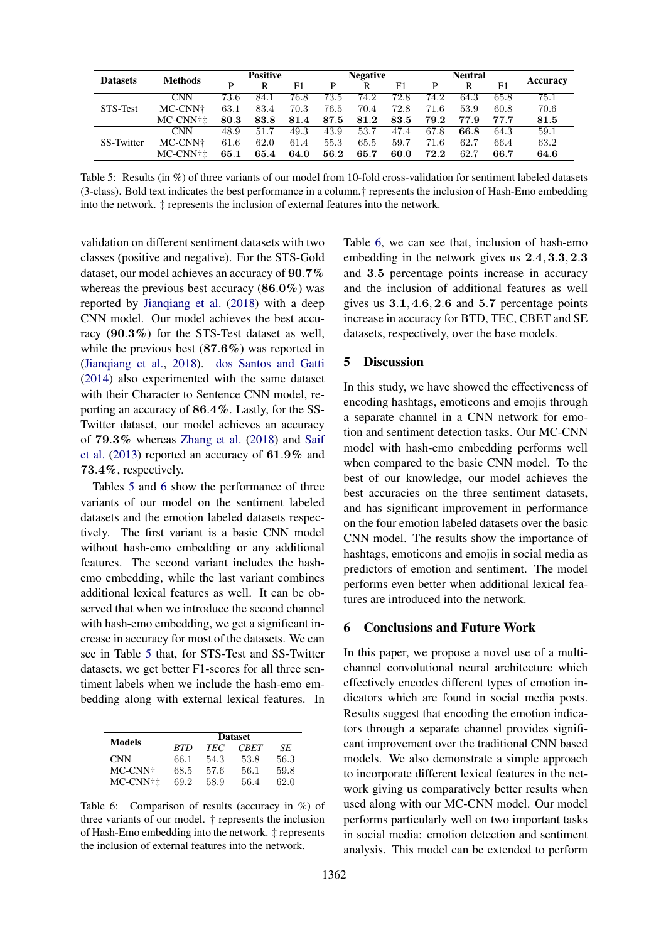| <b>Datasets</b> | <b>Methods</b> | <b>Positive</b> |                         |      | <b>Negative</b>   |      |      |      | <b>Neutral</b> |                |                 |
|-----------------|----------------|-----------------|-------------------------|------|-------------------|------|------|------|----------------|----------------|-----------------|
|                 |                |                 | $\overline{\mathsf{R}}$ | F1   | P                 | R    | F1   |      | R              | F <sub>1</sub> | <b>Accuracy</b> |
|                 | CNN            | 73.6            | 84.1                    | 76.8 | $73.\overline{5}$ | 74.2 | 72.8 | 74.2 | 64.3           | 65.8           | 75.1            |
| STS-Test        | MC-CNN+        | 63.1            | 83.4                    | 70.3 | 76.5              | 70.4 | 72.8 | 71.6 | 53.9           | 60.8           | 70.6            |
|                 | MC-CNN†±       | 80.3            | 83.8                    | 81.4 | 87.5              | 81.2 | 83.5 | 79.2 | 77.9           | 77.7           | 81.5            |
|                 | <b>CNN</b>     | 48.9            | 51.7                    | 49.3 | 43.9              | 53.7 | 47.4 | 67.8 | 66.8           | 64.3           | 59.1            |
| SS-Twitter      | MC-CNN+        | 61.6            | 62.0                    | 61.4 | 55.3              | 65.5 | 59.7 | 71.6 | 62.7           | 66.4           | 63.2            |
|                 | MC-CNN+±       | 65.1            | 65.4                    | 64.0 | 56.2              | 65.7 | 60.0 | 72.2 | 62.7           | 66.7           | 64.6            |

Table 5: Results (in %) of three variants of our model from 10-fold cross-validation for sentiment labeled datasets (3-class). Bold text indicates the best performance in a column.† represents the inclusion of Hash-Emo embedding into the network. ‡ represents the inclusion of external features into the network.

validation on different sentiment datasets with two classes (positive and negative). For the STS-Gold dataset, our model achieves an accuracy of 90.7% whereas the previous best accuracy  $(86.0\%)$  was reported by Jianqiang et al. (2018) with a deep CNN model. Our model achieves the best accuracy (90.3%) for the STS-Test dataset as well, while the previous best (87.6%) was reported in (Jianqiang et al., 2018). dos Santos and Gatti (2014) also experimented with the same dataset with their Character to Sentence CNN model, reporting an accuracy of 86.4%. Lastly, for the SS-Twitter dataset, our model achieves an accuracy of 79.3% whereas Zhang et al. (2018) and Saif et al. (2013) reported an accuracy of 61.9% and 73.4%, respectively.

Tables 5 and 6 show the performance of three variants of our model on the sentiment labeled datasets and the emotion labeled datasets respectively. The first variant is a basic CNN model without hash-emo embedding or any additional features. The second variant includes the hashemo embedding, while the last variant combines additional lexical features as well. It can be observed that when we introduce the second channel with hash-emo embedding, we get a significant increase in accuracy for most of the datasets. We can see in Table 5 that, for STS-Test and SS-Twitter datasets, we get better F1-scores for all three sentiment labels when we include the hash-emo embedding along with external lexical features. In

| Models     | <b>Dataset</b> |            |             |      |  |  |  |  |  |
|------------|----------------|------------|-------------|------|--|--|--|--|--|
|            | <b>RTD</b>     | <b>TEC</b> | <b>CRET</b> | SE.  |  |  |  |  |  |
| <b>CNN</b> | 66.1           | 54.3       | 53.8        | 56.3 |  |  |  |  |  |
| MC-CNN†    | 68.5           | 57.6       | 56.1        | 59.8 |  |  |  |  |  |
| MC-CNN†‡   | 69.2           | 58.9       | 56.4        | 62.0 |  |  |  |  |  |

Table 6: Comparison of results (accuracy in %) of three variants of our model. † represents the inclusion of Hash-Emo embedding into the network. ‡ represents the inclusion of external features into the network.

Table 6, we can see that, inclusion of hash-emo embedding in the network gives us 2.4, 3.3, 2.3 and 3.5 percentage points increase in accuracy and the inclusion of additional features as well gives us  $3.1, 4.6, 2.6$  and  $5.7$  percentage points increase in accuracy for BTD, TEC, CBET and SE datasets, respectively, over the base models.

# 5 Discussion

In this study, we have showed the effectiveness of encoding hashtags, emoticons and emojis through a separate channel in a CNN network for emotion and sentiment detection tasks. Our MC-CNN model with hash-emo embedding performs well when compared to the basic CNN model. To the best of our knowledge, our model achieves the best accuracies on the three sentiment datasets, and has significant improvement in performance on the four emotion labeled datasets over the basic CNN model. The results show the importance of hashtags, emoticons and emojis in social media as predictors of emotion and sentiment. The model performs even better when additional lexical features are introduced into the network.

## 6 Conclusions and Future Work

In this paper, we propose a novel use of a multichannel convolutional neural architecture which effectively encodes different types of emotion indicators which are found in social media posts. Results suggest that encoding the emotion indicators through a separate channel provides significant improvement over the traditional CNN based models. We also demonstrate a simple approach to incorporate different lexical features in the network giving us comparatively better results when used along with our MC-CNN model. Our model performs particularly well on two important tasks in social media: emotion detection and sentiment analysis. This model can be extended to perform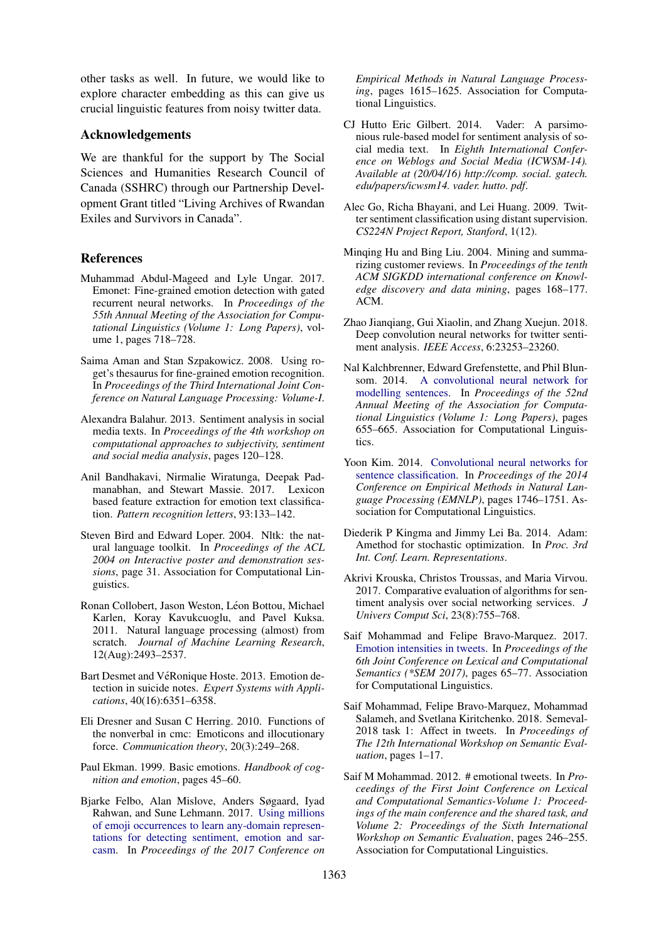other tasks as well. In future, we would like to explore character embedding as this can give us crucial linguistic features from noisy twitter data.

# Acknowledgements

We are thankful for the support by The Social Sciences and Humanities Research Council of Canada (SSHRC) through our Partnership Development Grant titled "Living Archives of Rwandan Exiles and Survivors in Canada".

## References

- Muhammad Abdul-Mageed and Lyle Ungar. 2017. Emonet: Fine-grained emotion detection with gated recurrent neural networks. In *Proceedings of the 55th Annual Meeting of the Association for Computational Linguistics (Volume 1: Long Papers)*, volume 1, pages 718–728.
- Saima Aman and Stan Szpakowicz. 2008. Using roget's thesaurus for fine-grained emotion recognition. In *Proceedings of the Third International Joint Conference on Natural Language Processing: Volume-I*.
- Alexandra Balahur. 2013. Sentiment analysis in social media texts. In *Proceedings of the 4th workshop on computational approaches to subjectivity, sentiment and social media analysis*, pages 120–128.
- Anil Bandhakavi, Nirmalie Wiratunga, Deepak Padmanabhan, and Stewart Massie. 2017. Lexicon based feature extraction for emotion text classification. *Pattern recognition letters*, 93:133–142.
- Steven Bird and Edward Loper. 2004. Nltk: the natural language toolkit. In *Proceedings of the ACL 2004 on Interactive poster and demonstration sessions*, page 31. Association for Computational Linguistics.
- Ronan Collobert, Jason Weston, Léon Bottou, Michael Karlen, Koray Kavukcuoglu, and Pavel Kuksa. 2011. Natural language processing (almost) from scratch. *Journal of Machine Learning Research*, 12(Aug):2493–2537.
- Bart Desmet and VéRonique Hoste. 2013. Emotion detection in suicide notes. *Expert Systems with Applications*, 40(16):6351–6358.
- Eli Dresner and Susan C Herring. 2010. Functions of the nonverbal in cmc: Emoticons and illocutionary force. *Communication theory*, 20(3):249–268.
- Paul Ekman. 1999. Basic emotions. *Handbook of cognition and emotion*, pages 45–60.
- Bjarke Felbo, Alan Mislove, Anders Søgaard, Iyad Rahwan, and Sune Lehmann. 2017. Using millions of emoji occurrences to learn any-domain representations for detecting sentiment, emotion and sarcasm. In *Proceedings of the 2017 Conference on*

*Empirical Methods in Natural Language Processing*, pages 1615–1625. Association for Computational Linguistics.

- CJ Hutto Eric Gilbert. 2014. Vader: A parsimonious rule-based model for sentiment analysis of social media text. In *Eighth International Conference on Weblogs and Social Media (ICWSM-14). Available at (20/04/16) http://comp. social. gatech. edu/papers/icwsm14. vader. hutto. pdf*.
- Alec Go, Richa Bhayani, and Lei Huang. 2009. Twitter sentiment classification using distant supervision. *CS224N Project Report, Stanford*, 1(12).
- Minqing Hu and Bing Liu. 2004. Mining and summarizing customer reviews. In *Proceedings of the tenth ACM SIGKDD international conference on Knowledge discovery and data mining*, pages 168–177. ACM.
- Zhao Jianqiang, Gui Xiaolin, and Zhang Xuejun. 2018. Deep convolution neural networks for twitter sentiment analysis. *IEEE Access*, 6:23253–23260.
- Nal Kalchbrenner, Edward Grefenstette, and Phil Blunsom. 2014. A convolutional neural network for modelling sentences. In *Proceedings of the 52nd Annual Meeting of the Association for Computational Linguistics (Volume 1: Long Papers)*, pages 655–665. Association for Computational Linguistics.
- Yoon Kim. 2014. Convolutional neural networks for sentence classification. In *Proceedings of the 2014 Conference on Empirical Methods in Natural Language Processing (EMNLP)*, pages 1746–1751. Association for Computational Linguistics.
- Diederik P Kingma and Jimmy Lei Ba. 2014. Adam: Amethod for stochastic optimization. In *Proc. 3rd Int. Conf. Learn. Representations*.
- Akrivi Krouska, Christos Troussas, and Maria Virvou. 2017. Comparative evaluation of algorithms for sentiment analysis over social networking services. *J Univers Comput Sci*, 23(8):755–768.
- Saif Mohammad and Felipe Bravo-Marquez. 2017. Emotion intensities in tweets. In *Proceedings of the 6th Joint Conference on Lexical and Computational Semantics (\*SEM 2017)*, pages 65–77. Association for Computational Linguistics.
- Saif Mohammad, Felipe Bravo-Marquez, Mohammad Salameh, and Svetlana Kiritchenko. 2018. Semeval-2018 task 1: Affect in tweets. In *Proceedings of The 12th International Workshop on Semantic Evaluation*, pages 1–17.
- Saif M Mohammad. 2012. # emotional tweets. In *Proceedings of the First Joint Conference on Lexical and Computational Semantics-Volume 1: Proceedings of the main conference and the shared task, and Volume 2: Proceedings of the Sixth International Workshop on Semantic Evaluation*, pages 246–255. Association for Computational Linguistics.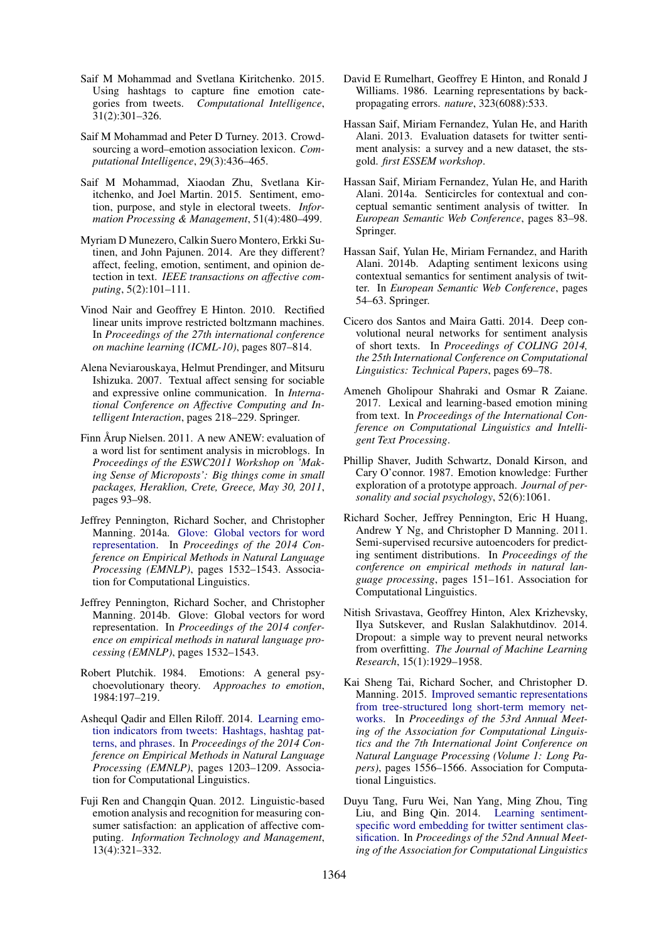- Saif M Mohammad and Svetlana Kiritchenko. 2015. Using hashtags to capture fine emotion categories from tweets. *Computational Intelligence*, 31(2):301–326.
- Saif M Mohammad and Peter D Turney. 2013. Crowdsourcing a word–emotion association lexicon. *Computational Intelligence*, 29(3):436–465.
- Saif M Mohammad, Xiaodan Zhu, Svetlana Kiritchenko, and Joel Martin. 2015. Sentiment, emotion, purpose, and style in electoral tweets. *Information Processing & Management*, 51(4):480–499.
- Myriam D Munezero, Calkin Suero Montero, Erkki Sutinen, and John Pajunen. 2014. Are they different? affect, feeling, emotion, sentiment, and opinion detection in text. *IEEE transactions on affective computing*, 5(2):101–111.
- Vinod Nair and Geoffrey E Hinton. 2010. Rectified linear units improve restricted boltzmann machines. In *Proceedings of the 27th international conference on machine learning (ICML-10)*, pages 807–814.
- Alena Neviarouskaya, Helmut Prendinger, and Mitsuru Ishizuka. 2007. Textual affect sensing for sociable and expressive online communication. In *International Conference on Affective Computing and Intelligent Interaction*, pages 218–229. Springer.
- Finn Årup Nielsen. 2011. A new ANEW: evaluation of a word list for sentiment analysis in microblogs. In *Proceedings of the ESWC2011 Workshop on 'Making Sense of Microposts': Big things come in small packages, Heraklion, Crete, Greece, May 30, 2011*, pages 93–98.
- Jeffrey Pennington, Richard Socher, and Christopher Manning. 2014a. Glove: Global vectors for word representation. In *Proceedings of the 2014 Conference on Empirical Methods in Natural Language Processing (EMNLP)*, pages 1532–1543. Association for Computational Linguistics.
- Jeffrey Pennington, Richard Socher, and Christopher Manning. 2014b. Glove: Global vectors for word representation. In *Proceedings of the 2014 conference on empirical methods in natural language processing (EMNLP)*, pages 1532–1543.
- Robert Plutchik. 1984. Emotions: A general psychoevolutionary theory. *Approaches to emotion*, 1984:197–219.
- Ashequl Qadir and Ellen Riloff. 2014. Learning emotion indicators from tweets: Hashtags, hashtag patterns, and phrases. In *Proceedings of the 2014 Conference on Empirical Methods in Natural Language Processing (EMNLP)*, pages 1203–1209. Association for Computational Linguistics.
- Fuji Ren and Changqin Quan. 2012. Linguistic-based emotion analysis and recognition for measuring consumer satisfaction: an application of affective computing. *Information Technology and Management*, 13(4):321–332.
- David E Rumelhart, Geoffrey E Hinton, and Ronald J Williams. 1986. Learning representations by backpropagating errors. *nature*, 323(6088):533.
- Hassan Saif, Miriam Fernandez, Yulan He, and Harith Alani. 2013. Evaluation datasets for twitter sentiment analysis: a survey and a new dataset, the stsgold. *first ESSEM workshop*.
- Hassan Saif, Miriam Fernandez, Yulan He, and Harith Alani. 2014a. Senticircles for contextual and conceptual semantic sentiment analysis of twitter. In *European Semantic Web Conference*, pages 83–98. Springer.
- Hassan Saif, Yulan He, Miriam Fernandez, and Harith Alani. 2014b. Adapting sentiment lexicons using contextual semantics for sentiment analysis of twitter. In *European Semantic Web Conference*, pages 54–63. Springer.
- Cicero dos Santos and Maira Gatti. 2014. Deep convolutional neural networks for sentiment analysis of short texts. In *Proceedings of COLING 2014, the 25th International Conference on Computational Linguistics: Technical Papers*, pages 69–78.
- Ameneh Gholipour Shahraki and Osmar R Zaiane. 2017. Lexical and learning-based emotion mining from text. In *Proceedings of the International Conference on Computational Linguistics and Intelligent Text Processing*.
- Phillip Shaver, Judith Schwartz, Donald Kirson, and Cary O'connor. 1987. Emotion knowledge: Further exploration of a prototype approach. *Journal of personality and social psychology*, 52(6):1061.
- Richard Socher, Jeffrey Pennington, Eric H Huang, Andrew Y Ng, and Christopher D Manning. 2011. Semi-supervised recursive autoencoders for predicting sentiment distributions. In *Proceedings of the conference on empirical methods in natural language processing*, pages 151–161. Association for Computational Linguistics.
- Nitish Srivastava, Geoffrey Hinton, Alex Krizhevsky, Ilya Sutskever, and Ruslan Salakhutdinov. 2014. Dropout: a simple way to prevent neural networks from overfitting. *The Journal of Machine Learning Research*, 15(1):1929–1958.
- Kai Sheng Tai, Richard Socher, and Christopher D. Manning. 2015. Improved semantic representations from tree-structured long short-term memory networks. In *Proceedings of the 53rd Annual Meeting of the Association for Computational Linguistics and the 7th International Joint Conference on Natural Language Processing (Volume 1: Long Papers)*, pages 1556–1566. Association for Computational Linguistics.
- Duyu Tang, Furu Wei, Nan Yang, Ming Zhou, Ting Liu, and Bing Qin. 2014. Learning sentimentspecific word embedding for twitter sentiment classification. In *Proceedings of the 52nd Annual Meeting of the Association for Computational Linguistics*